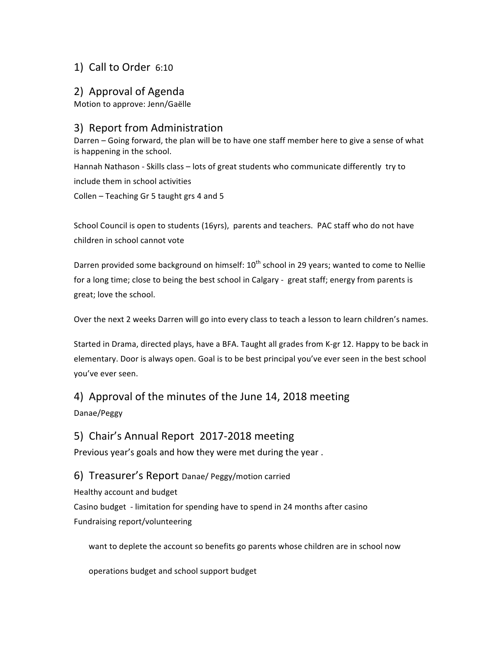## 1) Call to Order 6:10

### 2) Approval of Agenda

Motion to approve: Jenn/Gaëlle

## 3) Report from Administration

Darren – Going forward, the plan will be to have one staff member here to give a sense of what is happening in the school.

Hannah Nathason - Skills class - lots of great students who communicate differently try to include them in school activities

Collen – Teaching Gr 5 taught grs 4 and 5

School Council is open to students (16yrs), parents and teachers. PAC staff who do not have children in school cannot vote

Darren provided some background on himself:  $10^{th}$  school in 29 years; wanted to come to Nellie for a long time; close to being the best school in Calgary - great staff; energy from parents is great; love the school.

Over the next 2 weeks Darren will go into every class to teach a lesson to learn children's names.

Started in Drama, directed plays, have a BFA. Taught all grades from K-gr 12. Happy to be back in elementary. Door is always open. Goal is to be best principal you've ever seen in the best school you've ever seen.

# 4) Approval of the minutes of the June 14, 2018 meeting

Danae/Peggy

### 5) Chair's Annual Report 2017-2018 meeting

Previous year's goals and how they were met during the year.

#### 6) Treasurer's Report Danae/ Peggy/motion carried

Healthy account and budget Casino budget - limitation for spending have to spend in 24 months after casino Fundraising report/volunteering

want to deplete the account so benefits go parents whose children are in school now

operations budget and school support budget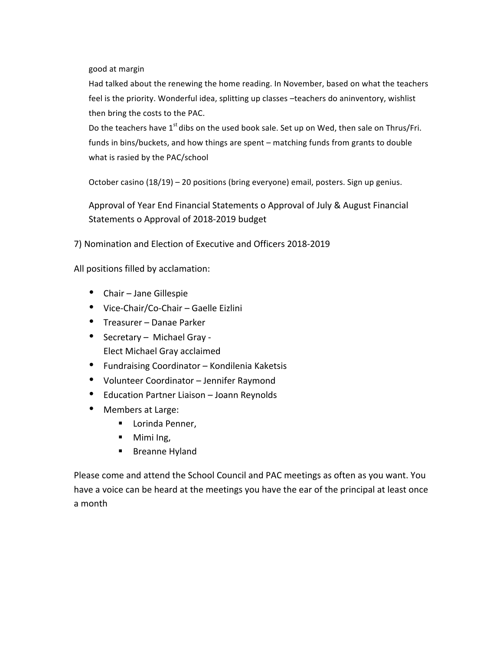good at margin

Had talked about the renewing the home reading. In November, based on what the teachers feel is the priority. Wonderful idea, splitting up classes -teachers do aninventory, wishlist then bring the costs to the PAC.

Do the teachers have  $1^{st}$  dibs on the used book sale. Set up on Wed, then sale on Thrus/Fri. funds in bins/buckets, and how things are spent – matching funds from grants to double what is rasied by the PAC/school

October casino  $(18/19) - 20$  positions (bring everyone) email, posters. Sign up genius.

Approval of Year End Financial Statements o Approval of July & August Financial Statements o Approval of 2018-2019 budget

7) Nomination and Election of Executive and Officers 2018-2019

All positions filled by acclamation:

- $\bullet$  Chair Jane Gillespie
- Vice-Chair/Co-Chair Gaelle Eizlini
- Treasurer Danae Parker
- Secretary Michael Gray -Elect Michael Gray acclaimed
- Fundraising Coordinator Kondilenia Kaketsis
- Volunteer Coordinator Jennifer Raymond
- Education Partner Liaison Joann Reynolds
- Members at Large:
	- Lorinda Penner,
	- Mimi Ing,
	- Breanne Hyland

Please come and attend the School Council and PAC meetings as often as you want. You have a voice can be heard at the meetings you have the ear of the principal at least once a month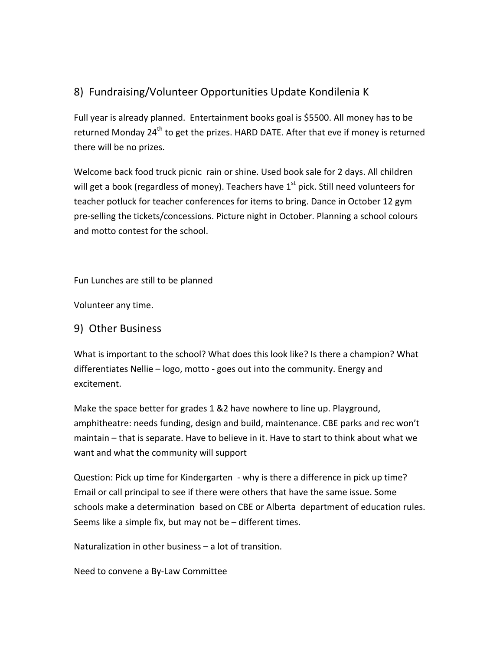# 8) Fundraising/Volunteer Opportunities Update Kondilenia K

Full year is already planned. Entertainment books goal is \$5500. All money has to be returned Monday 24<sup>th</sup> to get the prizes. HARD DATE. After that eve if money is returned there will be no prizes.

Welcome back food truck picnic rain or shine. Used book sale for 2 days. All children will get a book (regardless of money). Teachers have  $1<sup>st</sup>$  pick. Still need volunteers for teacher potluck for teacher conferences for items to bring. Dance in October 12 gym pre-selling the tickets/concessions. Picture night in October. Planning a school colours and motto contest for the school.

Fun Lunches are still to be planned

Volunteer any time.

#### 9) Other Business

What is important to the school? What does this look like? Is there a champion? What differentiates Nellie – logo, motto - goes out into the community. Energy and excitement. 

Make the space better for grades 1 &2 have nowhere to line up. Playground, amphitheatre: needs funding, design and build, maintenance. CBE parks and rec won't maintain  $-$  that is separate. Have to believe in it. Have to start to think about what we want and what the community will support

Question: Pick up time for Kindergarten - why is there a difference in pick up time? Email or call principal to see if there were others that have the same issue. Some schools make a determination based on CBE or Alberta department of education rules. Seems like a simple fix, but may not be  $-$  different times.

Naturalization in other business  $-$  a lot of transition.

Need to convene a By-Law Committee